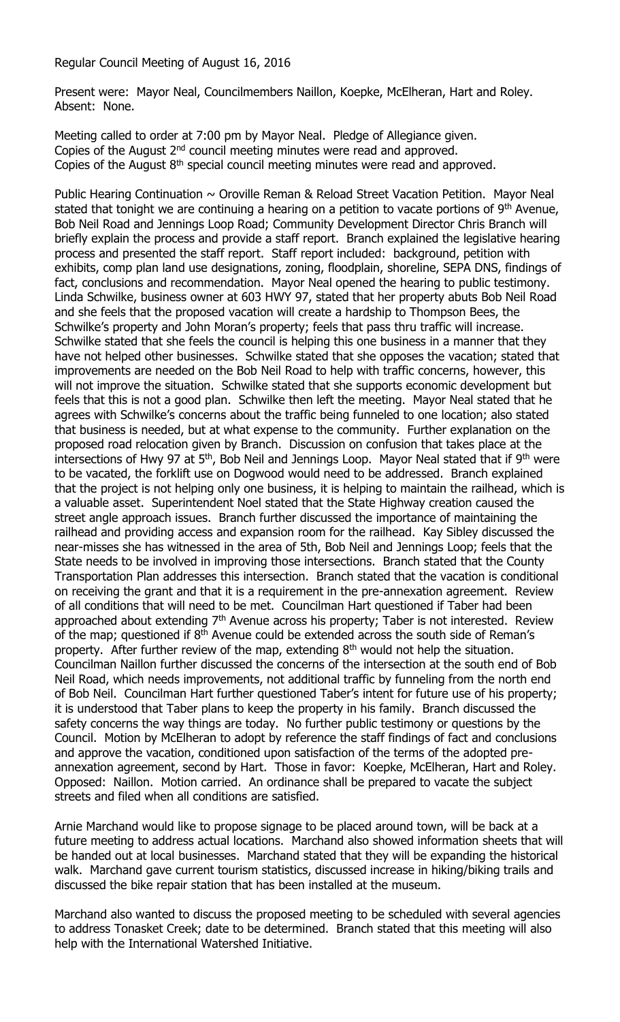Regular Council Meeting of August 16, 2016

Present were: Mayor Neal, Councilmembers Naillon, Koepke, McElheran, Hart and Roley. Absent: None.

Meeting called to order at 7:00 pm by Mayor Neal. Pledge of Allegiance given. Copies of the August 2<sup>nd</sup> council meeting minutes were read and approved. Copies of the August  $8<sup>th</sup>$  special council meeting minutes were read and approved.

Public Hearing Continuation  $\sim$  Oroville Reman & Reload Street Vacation Petition. Mayor Neal stated that tonight we are continuing a hearing on a petition to vacate portions of  $9<sup>th</sup>$  Avenue, Bob Neil Road and Jennings Loop Road; Community Development Director Chris Branch will briefly explain the process and provide a staff report. Branch explained the legislative hearing process and presented the staff report. Staff report included: background, petition with exhibits, comp plan land use designations, zoning, floodplain, shoreline, SEPA DNS, findings of fact, conclusions and recommendation. Mayor Neal opened the hearing to public testimony. Linda Schwilke, business owner at 603 HWY 97, stated that her property abuts Bob Neil Road and she feels that the proposed vacation will create a hardship to Thompson Bees, the Schwilke's property and John Moran's property; feels that pass thru traffic will increase. Schwilke stated that she feels the council is helping this one business in a manner that they have not helped other businesses. Schwilke stated that she opposes the vacation; stated that improvements are needed on the Bob Neil Road to help with traffic concerns, however, this will not improve the situation. Schwilke stated that she supports economic development but feels that this is not a good plan. Schwilke then left the meeting. Mayor Neal stated that he agrees with Schwilke's concerns about the traffic being funneled to one location; also stated that business is needed, but at what expense to the community. Further explanation on the proposed road relocation given by Branch. Discussion on confusion that takes place at the intersections of Hwy 97 at  $5<sup>th</sup>$ , Bob Neil and Jennings Loop. Mayor Neal stated that if  $9<sup>th</sup>$  were to be vacated, the forklift use on Dogwood would need to be addressed. Branch explained that the project is not helping only one business, it is helping to maintain the railhead, which is a valuable asset. Superintendent Noel stated that the State Highway creation caused the street angle approach issues. Branch further discussed the importance of maintaining the railhead and providing access and expansion room for the railhead. Kay Sibley discussed the near-misses she has witnessed in the area of 5th, Bob Neil and Jennings Loop; feels that the State needs to be involved in improving those intersections. Branch stated that the County Transportation Plan addresses this intersection. Branch stated that the vacation is conditional on receiving the grant and that it is a requirement in the pre-annexation agreement. Review of all conditions that will need to be met. Councilman Hart questioned if Taber had been approached about extending  $7<sup>th</sup>$  Avenue across his property; Taber is not interested. Review of the map; questioned if 8<sup>th</sup> Avenue could be extended across the south side of Reman's property. After further review of the map, extending  $8<sup>th</sup>$  would not help the situation. Councilman Naillon further discussed the concerns of the intersection at the south end of Bob Neil Road, which needs improvements, not additional traffic by funneling from the north end of Bob Neil. Councilman Hart further questioned Taber's intent for future use of his property; it is understood that Taber plans to keep the property in his family. Branch discussed the safety concerns the way things are today. No further public testimony or questions by the Council. Motion by McElheran to adopt by reference the staff findings of fact and conclusions and approve the vacation, conditioned upon satisfaction of the terms of the adopted preannexation agreement, second by Hart. Those in favor: Koepke, McElheran, Hart and Roley. Opposed: Naillon. Motion carried. An ordinance shall be prepared to vacate the subject streets and filed when all conditions are satisfied.

Arnie Marchand would like to propose signage to be placed around town, will be back at a future meeting to address actual locations. Marchand also showed information sheets that will be handed out at local businesses. Marchand stated that they will be expanding the historical walk. Marchand gave current tourism statistics, discussed increase in hiking/biking trails and discussed the bike repair station that has been installed at the museum.

Marchand also wanted to discuss the proposed meeting to be scheduled with several agencies to address Tonasket Creek; date to be determined. Branch stated that this meeting will also help with the International Watershed Initiative.